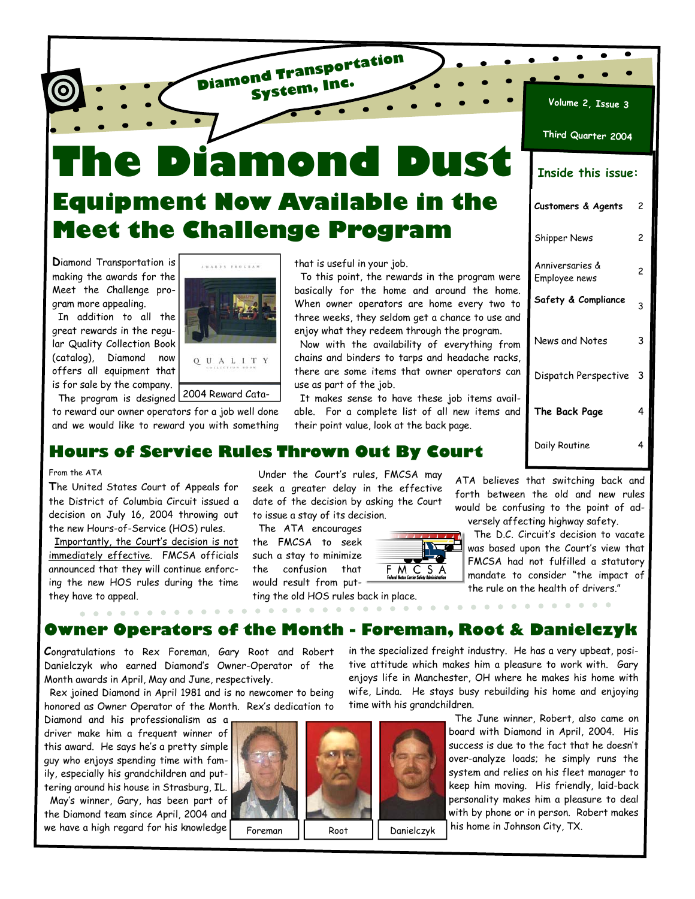**The Diamond Dust Equipment Now Available in the Meet the Challenge Program** 

**Diamond Transportation System, Inc.**

**D**iamond Transportation is making the awards for the Meet the Challenge program more appealing.

 In addition to all the great rewards in the regular Quality Collection Book (catalog), Diamond now offers all equipment that is for sale by the company.

Q U A L I T Y The program is designed 2004 Reward Cata-

. . . . . . . . . . . . .

to reward our owner operators for a job well done and we would like to reward you with something

that is useful in your job.

 To this point, the rewards in the program were basically for the home and around the home. When owner operators are home every two to three weeks, they seldom get a chance to use and enjoy what they redeem through the program.

 Now with the availability of everything from chains and binders to tarps and headache racks, there are some items that owner operators can use as part of the job.

 It makes sense to have these job items available. For a complete list of all new items and their point value, look at the back page.

| <u>Volume 2,</u> Issue 3         |   |  |  |  |  |  |
|----------------------------------|---|--|--|--|--|--|
| Third Quarter 2004               |   |  |  |  |  |  |
| <b>Inside this issue:</b>        |   |  |  |  |  |  |
| Customers & Agents               | 2 |  |  |  |  |  |
| <b>Shipper News</b>              | 2 |  |  |  |  |  |
| Anniversaries &<br>Employee news | 2 |  |  |  |  |  |
| Safety & Compliance              | 3 |  |  |  |  |  |
| News and Notes                   | 3 |  |  |  |  |  |
| Dispatch Perspective             | 3 |  |  |  |  |  |
| The Back Page                    | 4 |  |  |  |  |  |
| Daily Routine                    | 4 |  |  |  |  |  |

|  |  | and we would like TO Fewald you will something. Their point value, look at the back page. |
|--|--|-------------------------------------------------------------------------------------------|
|  |  | Hours of Service Rules Thrown Out By Court                                                |

### From the ATA

**T**he United States Court of Appeals for the District of Columbia Circuit issued a decision on July 16, 2004 throwing out the new Hours-of-Service (HOS) rules.

 Importantly, the Court's decision is not immediately effective. FMCSA officials announced that they will continue enforcing the new HOS rules during the time they have to appeal.

. . . . . . . .

 Under the Court's rules, FMCSA may seek a greater delay in the effective

. . .  $F$  M C S A

ATA believes that switching back and forth between the old and new rules would be confusing to the point of adversely affecting highway safety.

 The D.C. Circuit's decision to vacate was based upon the Court's view that FMCSA had not fulfilled a statutory mandate to consider "the impact of the rule on the health of drivers."

. . . . . . . . . .

**Owner Operators of the Month - Foreman, Root & Danielczyk** 

**C**ongratulations to Rex Foreman, Gary Root and Robert Danielczyk who earned Diamond's Owner-Operator of the Month awards in April, May and June, respectively.

 Rex joined Diamond in April 1981 and is no newcomer to being honored as Owner Operator of the Month. Rex's dedication to

Diamond and his professionalism as a driver make him a frequent winner of this award. He says he's a pretty simple guy who enjoys spending time with family, especially his grandchildren and puttering around his house in Strasburg, IL.

 May's winner, Gary, has been part of the Diamond team since April, 2004 and we have a high regard for his knowledge



Foreman | Root | Danielczyk

in the specialized freight industry. He has a very upbeat, positive attitude which makes him a pleasure to work with. Gary enjoys life in Manchester, OH where he makes his home with wife, Linda. He stays busy rebuilding his home and enjoying time with his grandchildren.

> The June winner, Robert, also came on board with Diamond in April, 2004. His success is due to the fact that he doesn't over-analyze loads; he simply runs the system and relies on his fleet manager to keep him moving. His friendly, laid-back personality makes him a pleasure to deal with by phone or in person. Robert makes his home in Johnson City, TX.

date of the decision by asking the Court to issue a stay of its decision. The ATA encourages

the FMCSA to seek such a stay to minimize the confusion that would result from put-

. . . . . . . . . . .

ting the old HOS rules back in place.

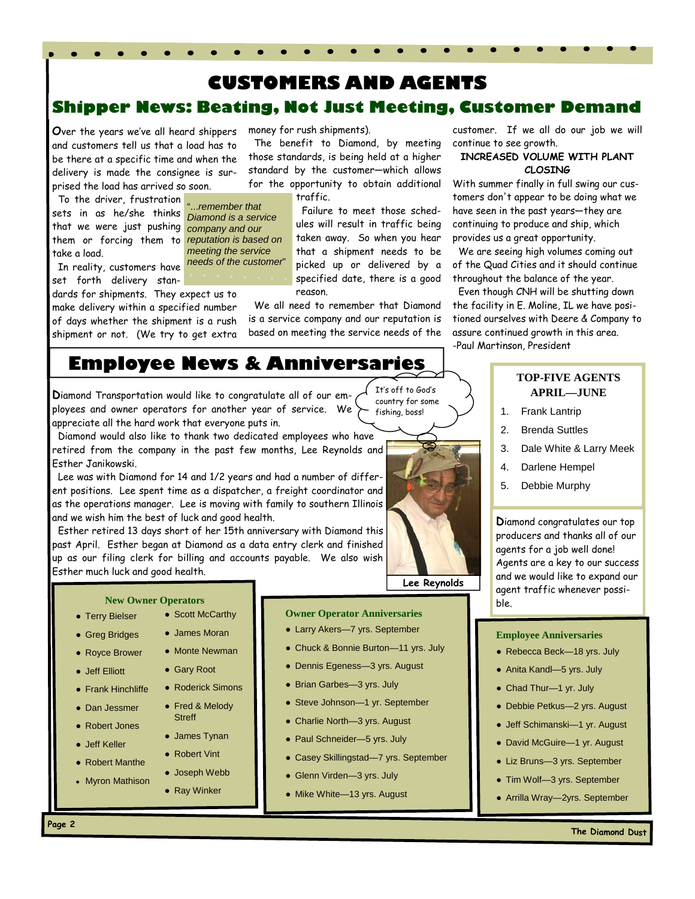# **Shipper News: Beating, Not Just Meeting, Customer Demand CUSTOMERS AND AGENTS**

 The benefit to Diamond, by meeting those standards, is being held at a higher standard by the customer—which allows for the opportunity to obtain additional

> Failure to meet those schedules will result in traffic being taken away. So when you hear that a shipment needs to be picked up or delivered by a

money for rush shipments).

traffic.

**O**ver the years we've all heard shippers and customers tell us that a load has to be there at a specific time and when the delivery is made the consignee is surprised the load has arrived so soon.

 To the driver, frustration "...*remember that*  sets in as he/she thinks that we were just pushing *company and our*  them or forcing them to *reputation is based on*  take a load.

 In reality, customers have *needs of the customer*" set forth delivery stan-

dards for shipments. They expect us to make delivery within a specified number of days whether the shipment is a rush shipment or not. (We try to get extra

*Diamond is a service meeting the service* 

specified date, there is a good reason.

 We all need to remember that Diamond is a service company and our reputation is based on meeting the service needs of the

customer. If we all do our job we will continue to see growth.

### **INCREASED VOLUME WITH PLANT CLOSING**

With summer finally in full swing our customers don't appear to be doing what we have seen in the past years—they are continuing to produce and ship, which provides us a great opportunity.

 We are seeing high volumes coming out of the Quad Cities and it should continue throughout the balance of the year.

 Even though CNH will be shutting down the facility in E. Moline, IL we have positioned ourselves with Deere & Company to assure continued growth in this area. -Paul Martinson, President

# **Employee News & Anniversaries**

**D**iamond Transportation would like to congratulate all of our employees and owner operators for another year of service. We appreciate all the hard work that everyone puts in.

 Diamond would also like to thank two dedicated employees who have retired from the company in the past few months, Lee Reynolds and Esther Janikowski.

 Lee was with Diamond for 14 and 1/2 years and had a number of different positions. Lee spent time as a dispatcher, a freight coordinator and as the operations manager. Lee is moving with family to southern Illinois and we wish him the best of luck and good health.

 Esther retired 13 days short of her 15th anniversary with Diamond this past April. Esther began at Diamond as a data entry clerk and finished up as our filing clerk for billing and accounts payable. We also wish Esther much luck and good health.

#### **New Owner Operators**

- Terry Bielser
- Greg Bridges
- Royce Brower
- Jeff Elliott ● Gary Root
- Frank Hinchliffe
- Dan Jessmer
- Robert Jones
- Jeff Keller
- Robert Manthe
- Myron Mathison

## **Owner Operator Anniversaries**

- Larry Akers-7 yrs. September
- Chuck & Bonnie Burton-11 yrs. July
- Dennis Egeness—3 yrs. August
- Brian Garbes—3 yrs. July
- Steve Johnson—1 yr. September
- Charlie North-3 yrs. August
- Paul Schneider-5 yrs. July
- Casey Skillingstad—7 yrs. September
- Glenn Virden-3 yrs. July
- Mike White-13 yrs. August

## **TOP-FIVE AGENTS APRIL—JUNE**

- 1. Frank Lantrip
- 2. Brenda Suttles
- 3. Dale White & Larry Meek
- 4. Darlene Hempel
- 5. Debbie Murphy

**D**iamond congratulates our top producers and thanks all of our agents for a job well done! Agents are a key to our success and we would like to expand our agent traffic whenever possible.

#### **Employee Anniversaries**

- Rebecca Beck-18 yrs. July
- Anita Kandl-5 yrs. July
- Chad Thur-1 yr. July
- Debbie Petkus—2 yrs. August
- Jeff Schimanski—1 yr. August
- David McGuire—1 yr. August
- Liz Bruns—3 yrs. September
- Tim Wolf—3 yrs. September
- Arrilla Wray—2yrs. September



It's off to God's

- Fred & Melody **Streff** ● James Tynan
- 

● Ray Winker

● Roderick Simons

• Scott McCarthy ● James Moran ● Monte Newman

● Robert Vint ● Joseph Webb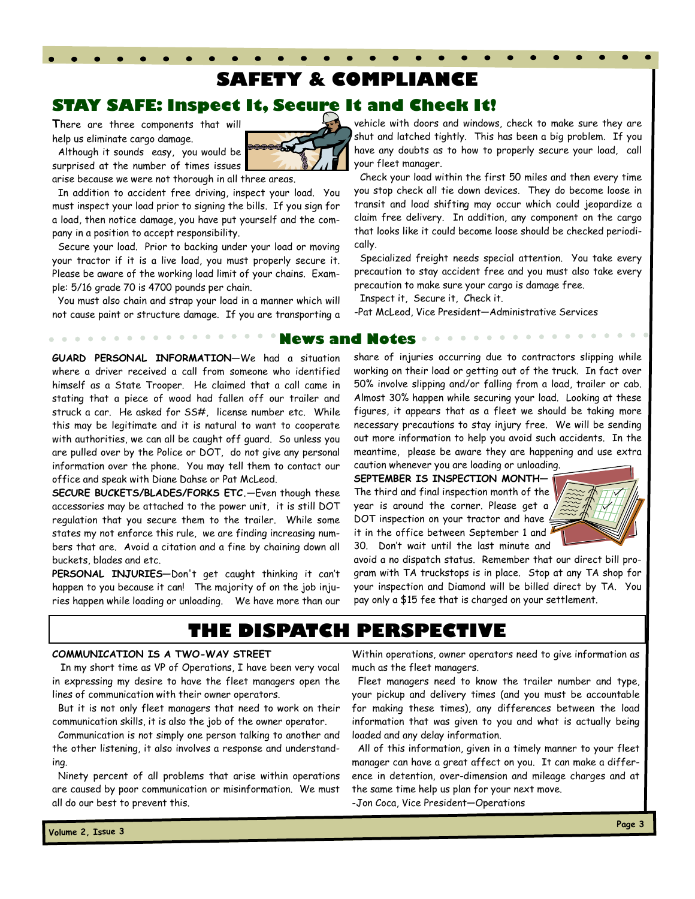# **SAFETY & COMPLIANCE**

## **STAY SAFE: Inspect It, Secure It and Check It!**

**T**here are three components that will help us eliminate cargo damage.

 Although it sounds easy, you would be surprised at the number of times issues

arise because we were not thorough in all three areas.

 In addition to accident free driving, inspect your load. You must inspect your load prior to signing the bills. If you sign for a load, then notice damage, you have put yourself and the company in a position to accept responsibility.

 Secure your load. Prior to backing under your load or moving your tractor if it is a live load, you must properly secure it. Please be aware of the working load limit of your chains. Example: 5/16 grade 70 is 4700 pounds per chain.

 You must also chain and strap your load in a manner which will not cause paint or structure damage. If you are transporting a vehicle with doors and windows, check to make sure they are shut and latched tightly. This has been a big problem. If you have any doubts as to how to properly secure your load, call your fleet manager.

 Check your load within the first 50 miles and then every time you stop check all tie down devices. They do become loose in transit and load shifting may occur which could jeopardize a claim free delivery. In addition, any component on the cargo that looks like it could become loose should be checked periodically.

 Specialized freight needs special attention. You take every precaution to stay accident free and you must also take every precaution to make sure your cargo is damage free.

Inspect it, Secure it, Check it.

-Pat McLeod, Vice President—Administrative Services

### **News and Notes**

**GUARD PERSONAL INFORMATION—**We had a situation where a driver received a call from someone who identified himself as a State Trooper. He claimed that a call came in stating that a piece of wood had fallen off our trailer and struck a car. He asked for SS#, license number etc. While this may be legitimate and it is natural to want to cooperate with authorities, we can all be caught off guard. So unless you are pulled over by the Police or DOT, do not give any personal information over the phone. You may tell them to contact our office and speak with Diane Dahse or Pat McLeod.

**SECURE BUCKETS/BLADES/FORKS ETC.—**Even though these accessories may be attached to the power unit, it is still DOT regulation that you secure them to the trailer. While some states my not enforce this rule, we are finding increasing numbers that are. Avoid a citation and a fine by chaining down all buckets, blades and etc.

**PERSONAL INJURIES—**Don't get caught thinking it can't happen to you because it can! The majority of on the job injuries happen while loading or unloading. We have more than our share of injuries occurring due to contractors slipping while working on their load or getting out of the truck. In fact over 50% involve slipping and/or falling from a load, trailer or cab. Almost 30% happen while securing your load. Looking at these figures, it appears that as a fleet we should be taking more necessary precautions to stay injury free. We will be sending out more information to help you avoid such accidents. In the meantime, please be aware they are happening and use extra caution whenever you are loading or unloading.

**SEPTEMBER IS INSPECTION MONTH—** The third and final inspection month of the year is around the corner. Please get a DOT inspection on your tractor and have it in the office between September 1 and 30. Don't wait until the last minute and



avoid a no dispatch status. Remember that our direct bill program with TA truckstops is in place. Stop at any TA shop for your inspection and Diamond will be billed direct by TA. You pay only a \$15 fee that is charged on your settlement.

# **THE DISPATCH PERSPECTIVE**

### **COMMUNICATION IS A TWO-WAY STREET**

In my short time as VP of Operations, I have been very vocal in expressing my desire to have the fleet managers open the lines of communication with their owner operators.

 But it is not only fleet managers that need to work on their communication skills, it is also the job of the owner operator.

 Communication is not simply one person talking to another and the other listening, it also involves a response and understanding.

 Ninety percent of all problems that arise within operations are caused by poor communication or misinformation. We must all do our best to prevent this.

Within operations, owner operators need to give information as much as the fleet managers.

 Fleet managers need to know the trailer number and type, your pickup and delivery times (and you must be accountable for making these times), any differences between the load information that was given to you and what is actually being loaded and any delay information.

 All of this information, given in a timely manner to your fleet manager can have a great affect on you. It can make a difference in detention, over-dimension and mileage charges and at the same time help us plan for your next move.

-Jon Coca, Vice President—Operations